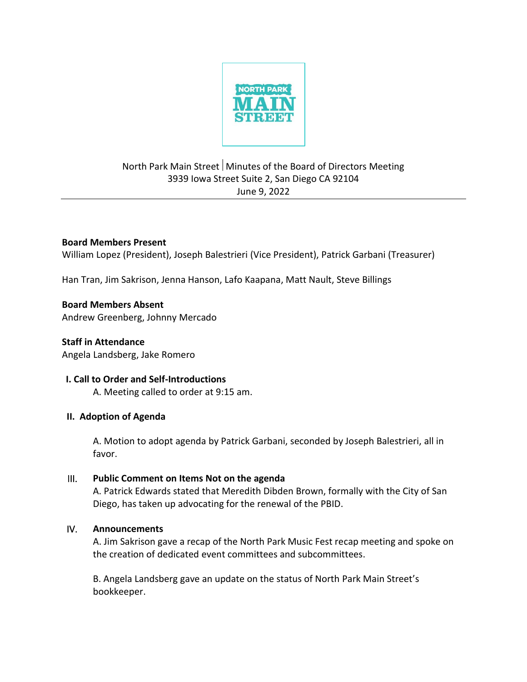

# North Park Main Street Minutes of the Board of Directors Meeting 3939 Iowa Street Suite 2, San Diego CA 92104 June 9, 2022

### **Board Members Present**

William Lopez (President), Joseph Balestrieri (Vice President), Patrick Garbani (Treasurer)

Han Tran, Jim Sakrison, Jenna Hanson, Lafo Kaapana, Matt Nault, Steve Billings

#### **Board Members Absent**

Andrew Greenberg, Johnny Mercado

**Staff in Attendance** Angela Landsberg, Jake Romero

#### **I. Call to Order and Self-Introductions**

A. Meeting called to order at 9:15 am.

#### **II. Adoption of Agenda**

A. Motion to adopt agenda by Patrick Garbani, seconded by Joseph Balestrieri, all in favor.

#### III. **Public Comment on Items Not on the agenda**

A. Patrick Edwards stated that Meredith Dibden Brown, formally with the City of San Diego, has taken up advocating for the renewal of the PBID.

#### IV. **Announcements**

A. Jim Sakrison gave a recap of the North Park Music Fest recap meeting and spoke on the creation of dedicated event committees and subcommittees.

B. Angela Landsberg gave an update on the status of North Park Main Street's bookkeeper.